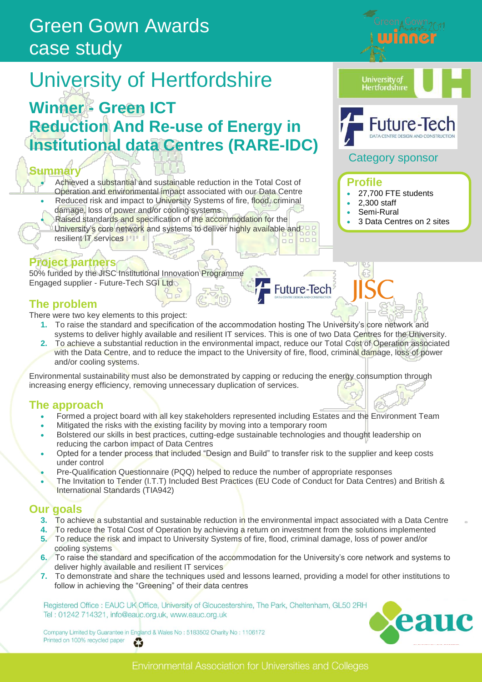## Green Gown Awards case study

# University of Hertfordshire

### **Winner - Green ICT Reduction And Re-use of Energy in Institutional data Centres (RARE-IDC)**

#### **Summary**

- Achieved a substantial and sustainable reduction in the Total Cost of Operation and environmental impact associated with our Data Centre
- Reduced risk and impact to University Systems of fire, flood, criminal damage, loss of power and/or cooling systems
- Raised standards and specification of the accommodation for the University's core network and systems to deliver highly available and
- resilient IT services

#### **Project partners**

50% funded by the JISC Institutional Innovation Programme Engaged supplier - Future-Tech SGI Ltd

#### **The problem**

There were two key elements to this project:

**1.** To raise the standard and specification of the accommodation hosting The University"s core network and systems to deliver highly available and resilient IT services. This is one of two Data Centres for the University.

Future-Tech

**2.** To achieve a substantial reduction in the environmental impact, reduce our Total Cost of Operation associated with the Data Centre, and to reduce the impact to the University of fire, flood, criminal damage, loss of power and/or cooling systems.

Environmental sustainability must also be demonstrated by capping or reducing the energy consumption through increasing energy efficiency, removing unnecessary duplication of services.

#### **The approach**

- Formed a project board with all key stakeholders represented including Estates and the Environment Team
- Mitigated the risks with the existing facility by moving into a temporary room
- Bolstered our skills in best practices, cutting-edge sustainable technologies and thought leadership on reducing the carbon impact of Data Centres
- Opted for a tender process that included "Design and Build" to transfer risk to the supplier and keep costs under control
- Pre-Qualification Questionnaire (PQQ) helped to reduce the number of appropriate responses
- The Invitation to Tender (I.T.T) Included Best Practices (EU Code of Conduct for Data Centres) and British & International Standards (TIA942)

#### **Our goals**

- **3.** To achieve a substantial and sustainable reduction in the environmental impact associated with a Data Centre
- **4.** To reduce the Total Cost of Operation by achieving a return on investment from the solutions implemented
- **5.** To reduce the risk and impact to University Systems of fire, flood, criminal damage, loss of power and/or cooling systems
- **6.** To raise the standard and specification of the accommodation for the University"s core network and systems to deliver highly available and resilient IT services
- **7.** To demonstrate and share the techniques used and lessons learned, providing a model for other institutions to follow in achieving the "Greening" of their data centres

Registered Office : EAUC UK Office, University of Gloucestershire, The Park, Cheltenham, GL50 2RH Tel: 01242 714321, info@eauc.org.uk, www.eauc.org.uk

Company Limited by Guarantee in England & Wales No: 5183502 Charity No: 1106172 Printed on 100% recycled paper ť.







**University of Hertfordshire** 

#### Category sponsor

#### **Profile**

- 27,700 FTE students
- 2,300 staff
- Semi-Rural
- **Green 3 Data Centres on 2 sites**

eau